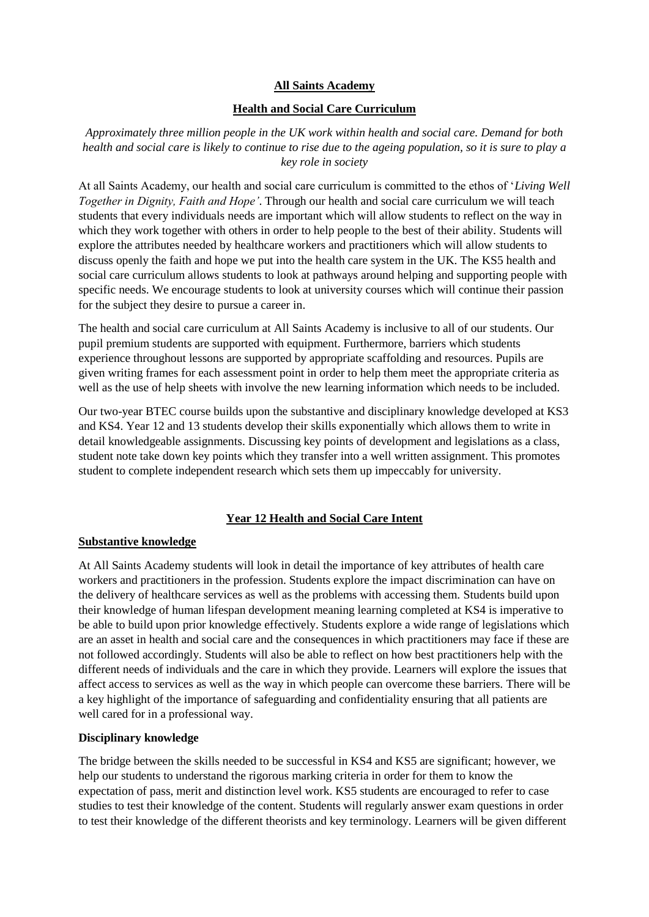### **All Saints Academy**

# **Health and Social Care Curriculum**

*Approximately three million people in the UK work within health and social care. Demand for both health and social care is likely to continue to rise due to the ageing population, so it is sure to play a key role in society*

At all Saints Academy, our health and social care curriculum is committed to the ethos of '*Living Well Together in Dignity, Faith and Hope'*. Through our health and social care curriculum we will teach students that every individuals needs are important which will allow students to reflect on the way in which they work together with others in order to help people to the best of their ability. Students will explore the attributes needed by healthcare workers and practitioners which will allow students to discuss openly the faith and hope we put into the health care system in the UK. The KS5 health and social care curriculum allows students to look at pathways around helping and supporting people with specific needs. We encourage students to look at university courses which will continue their passion for the subject they desire to pursue a career in.

The health and social care curriculum at All Saints Academy is inclusive to all of our students. Our pupil premium students are supported with equipment. Furthermore, barriers which students experience throughout lessons are supported by appropriate scaffolding and resources. Pupils are given writing frames for each assessment point in order to help them meet the appropriate criteria as well as the use of help sheets with involve the new learning information which needs to be included.

Our two-year BTEC course builds upon the substantive and disciplinary knowledge developed at KS3 and KS4. Year 12 and 13 students develop their skills exponentially which allows them to write in detail knowledgeable assignments. Discussing key points of development and legislations as a class, student note take down key points which they transfer into a well written assignment. This promotes student to complete independent research which sets them up impeccably for university.

# **Year 12 Health and Social Care Intent**

### **Substantive knowledge**

At All Saints Academy students will look in detail the importance of key attributes of health care workers and practitioners in the profession. Students explore the impact discrimination can have on the delivery of healthcare services as well as the problems with accessing them. Students build upon their knowledge of human lifespan development meaning learning completed at KS4 is imperative to be able to build upon prior knowledge effectively. Students explore a wide range of legislations which are an asset in health and social care and the consequences in which practitioners may face if these are not followed accordingly. Students will also be able to reflect on how best practitioners help with the different needs of individuals and the care in which they provide. Learners will explore the issues that affect access to services as well as the way in which people can overcome these barriers. There will be a key highlight of the importance of safeguarding and confidentiality ensuring that all patients are well cared for in a professional way.

### **Disciplinary knowledge**

The bridge between the skills needed to be successful in KS4 and KS5 are significant; however, we help our students to understand the rigorous marking criteria in order for them to know the expectation of pass, merit and distinction level work. KS5 students are encouraged to refer to case studies to test their knowledge of the content. Students will regularly answer exam questions in order to test their knowledge of the different theorists and key terminology. Learners will be given different